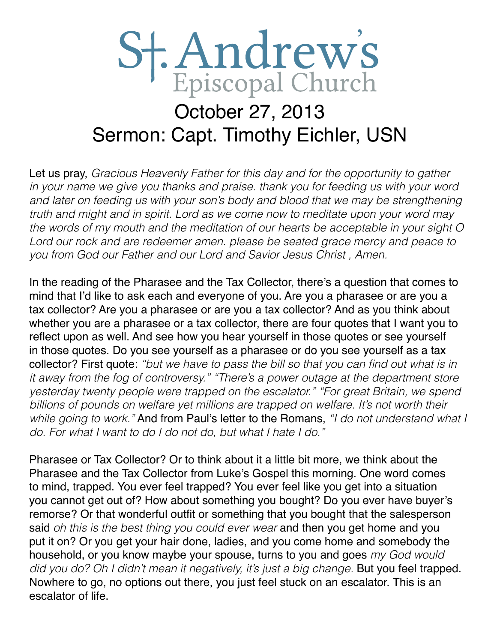## St. Andrew's October 27, 2013 Sermon: Capt. Timothy Eichler, USN

Let us pray, *Gracious Heavenly Father for this day and for the opportunity to gather in your name we give you thanks and praise. thank you for feeding us with your word*  and later on feeding us with your son's body and blood that we may be strengthening *truth and might and in spirit. Lord as we come now to meditate upon your word may the words of my mouth and the meditation of our hearts be acceptable in your sight O Lord our rock and are redeemer amen. please be seated grace mercy and peace to you from God our Father and our Lord and Savior Jesus Christ , Amen.* 

In the reading of the Pharasee and the Tax Collector, there's a question that comes to mind that I'd like to ask each and everyone of you. Are you a pharasee or are you a tax collector? Are you a pharasee or are you a tax collector? And as you think about whether you are a pharasee or a tax collector, there are four quotes that I want you to reflect upon as well. And see how you hear yourself in those quotes or see yourself in those quotes. Do you see yourself as a pharasee or do you see yourself as a tax collector? First quote: "but we have to pass the bill so that you can find out what is in *it away from the fog of controversy." "There's a power outage at the department store yesterday twenty people were trapped on the escalator." "For great Britain, we spend billions of pounds on welfare yet millions are trapped on welfare. It's not worth their while going to work."* And from Paul's letter to the Romans, *"I do not understand what I do. For what I want to do I do not do, but what I hate I do."*

Pharasee or Tax Collector? Or to think about it a little bit more, we think about the Pharasee and the Tax Collector from Luke's Gospel this morning. One word comes to mind, trapped. You ever feel trapped? You ever feel like you get into a situation you cannot get out of? How about something you bought? Do you ever have buyer's remorse? Or that wonderful outfit or something that you bought that the salesperson said *oh this is the best thing you could ever wear* and then you get home and you put it on? Or you get your hair done, ladies, and you come home and somebody the household, or you know maybe your spouse, turns to you and goes *my God would did you do? Oh I didn't mean it negatively, it's just a big change.* But you feel trapped. Nowhere to go, no options out there, you just feel stuck on an escalator. This is an escalator of life.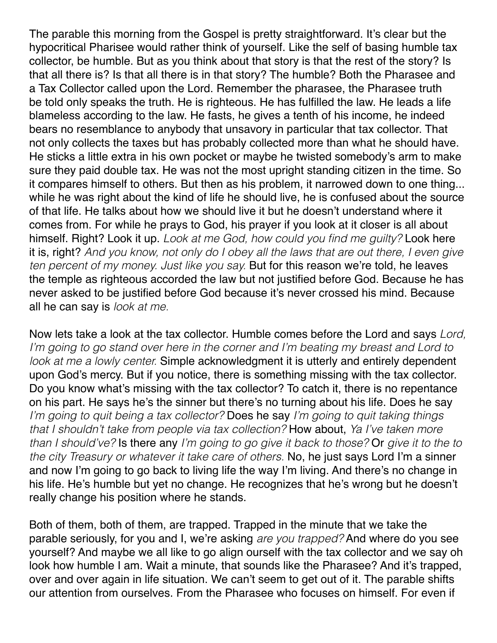The parable this morning from the Gospel is pretty straightforward. It's clear but the hypocritical Pharisee would rather think of yourself. Like the self of basing humble tax collector, be humble. But as you think about that story is that the rest of the story? Is that all there is? Is that all there is in that story? The humble? Both the Pharasee and a Tax Collector called upon the Lord. Remember the pharasee, the Pharasee truth be told only speaks the truth. He is righteous. He has fulfilled the law. He leads a life blameless according to the law. He fasts, he gives a tenth of his income, he indeed bears no resemblance to anybody that unsavory in particular that tax collector. That not only collects the taxes but has probably collected more than what he should have. He sticks a little extra in his own pocket or maybe he twisted somebody's arm to make sure they paid double tax. He was not the most upright standing citizen in the time. So it compares himself to others. But then as his problem, it narrowed down to one thing... while he was right about the kind of life he should live, he is confused about the source of that life. He talks about how we should live it but he doesn't understand where it comes from. For while he prays to God, his prayer if you look at it closer is all about himself. Right? Look it up. Look at me God, how could you find me guilty? Look here it is, right? *And you know, not only do I obey all the laws that are out there, I even give ten percent of my money. Just like you say.* But for this reason we're told, he leaves the temple as righteous accorded the law but not justified before God. Because he has never asked to be justified before God because it's never crossed his mind. Because all he can say is *look at me.*

Now lets take a look at the tax collector. Humble comes before the Lord and says *Lord, I'm going to go stand over here in the corner and I'm beating my breast and Lord to look at me a lowly center.* Simple acknowledgment it is utterly and entirely dependent upon God's mercy. But if you notice, there is something missing with the tax collector. Do you know what's missing with the tax collector? To catch it, there is no repentance on his part. He says he's the sinner but there's no turning about his life. Does he say *I'm going to quit being a tax collector?* Does he say *I'm going to quit taking things that I shouldn't take from people via tax collection?* How about, *Ya I've taken more than I should've?* Is there any *I'm going to go give it back to those?* Or *give it to the to the city Treasury or whatever it take care of others.* No, he just says Lord I'm a sinner and now I'm going to go back to living life the way I'm living. And there's no change in his life. He's humble but yet no change. He recognizes that he's wrong but he doesn't really change his position where he stands.

Both of them, both of them, are trapped. Trapped in the minute that we take the parable seriously, for you and I, we're asking *are you trapped?* And where do you see yourself? And maybe we all like to go align ourself with the tax collector and we say oh look how humble I am. Wait a minute, that sounds like the Pharasee? And it's trapped, over and over again in life situation. We can't seem to get out of it. The parable shifts our attention from ourselves. From the Pharasee who focuses on himself. For even if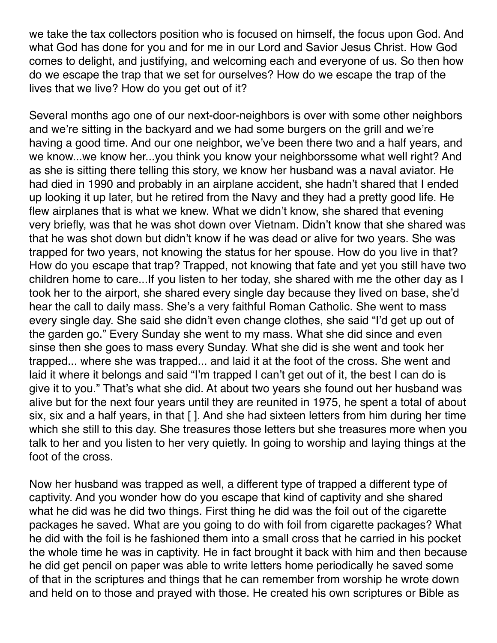we take the tax collectors position who is focused on himself, the focus upon God. And what God has done for you and for me in our Lord and Savior Jesus Christ. How God comes to delight, and justifying, and welcoming each and everyone of us. So then how do we escape the trap that we set for ourselves? How do we escape the trap of the lives that we live? How do you get out of it?

Several months ago one of our next-door-neighbors is over with some other neighbors and we're sitting in the backyard and we had some burgers on the grill and we're having a good time. And our one neighbor, we've been there two and a half years, and we know...we know her...you think you know your neighborssome what well right? And as she is sitting there telling this story, we know her husband was a naval aviator. He had died in 1990 and probably in an airplane accident, she hadn't shared that I ended up looking it up later, but he retired from the Navy and they had a pretty good life. He flew airplanes that is what we knew. What we didn't know, she shared that evening very briefly, was that he was shot down over Vietnam. Didn't know that she shared was that he was shot down but didn't know if he was dead or alive for two years. She was trapped for two years, not knowing the status for her spouse. How do you live in that? How do you escape that trap? Trapped, not knowing that fate and yet you still have two children home to care...If you listen to her today, she shared with me the other day as I took her to the airport, she shared every single day because they lived on base, she'd hear the call to daily mass. She's a very faithful Roman Catholic. She went to mass every single day. She said she didn't even change clothes, she said "I'd get up out of the garden go." Every Sunday she went to my mass. What she did since and even sinse then she goes to mass every Sunday. What she did is she went and took her trapped... where she was trapped... and laid it at the foot of the cross. She went and laid it where it belongs and said "I'm trapped I can't get out of it, the best I can do is give it to you." That's what she did. At about two years she found out her husband was alive but for the next four years until they are reunited in 1975, he spent a total of about six, six and a half years, in that [ ]. And she had sixteen letters from him during her time which she still to this day. She treasures those letters but she treasures more when you talk to her and you listen to her very quietly. In going to worship and laying things at the foot of the cross.

Now her husband was trapped as well, a different type of trapped a different type of captivity. And you wonder how do you escape that kind of captivity and she shared what he did was he did two things. First thing he did was the foil out of the cigarette packages he saved. What are you going to do with foil from cigarette packages? What he did with the foil is he fashioned them into a small cross that he carried in his pocket the whole time he was in captivity. He in fact brought it back with him and then because he did get pencil on paper was able to write letters home periodically he saved some of that in the scriptures and things that he can remember from worship he wrote down and held on to those and prayed with those. He created his own scriptures or Bible as